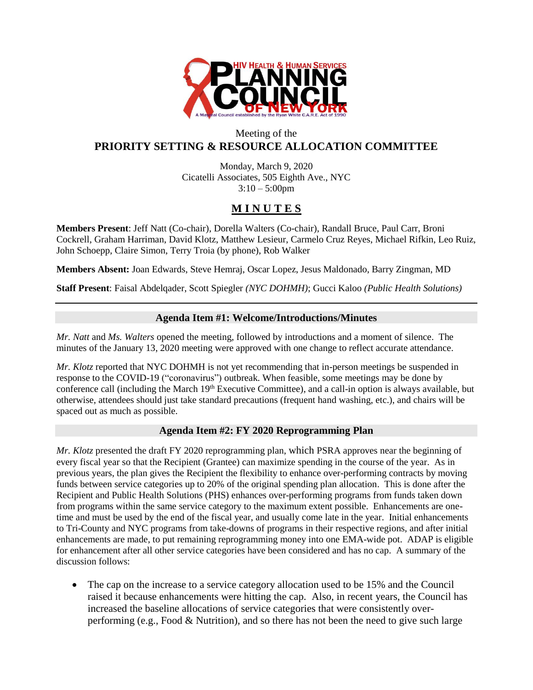

## Meeting of the **PRIORITY SETTING & RESOURCE ALLOCATION COMMITTEE**

Monday, March 9, 2020 Cicatelli Associates, 505 Eighth Ave., NYC  $3:10 - 5:00$ pm

# **M I N U T E S**

**Members Present**: Jeff Natt (Co-chair), Dorella Walters (Co-chair), Randall Bruce, Paul Carr, Broni Cockrell, Graham Harriman, David Klotz, Matthew Lesieur, Carmelo Cruz Reyes, Michael Rifkin, Leo Ruiz, John Schoepp, Claire Simon, Terry Troia (by phone), Rob Walker

**Members Absent:** Joan Edwards, Steve Hemraj, Oscar Lopez, Jesus Maldonado, Barry Zingman, MD

**Staff Present**: Faisal Abdelqader, Scott Spiegler *(NYC DOHMH)*; Gucci Kaloo *(Public Health Solutions)*

### **Agenda Item #1: Welcome/Introductions/Minutes**

*Mr. Natt* and *Ms. Walters* opened the meeting, followed by introductions and a moment of silence. The minutes of the January 13, 2020 meeting were approved with one change to reflect accurate attendance.

*Mr. Klotz* reported that NYC DOHMH is not yet recommending that in-person meetings be suspended in response to the COVID-19 ("coronavirus") outbreak. When feasible, some meetings may be done by conference call (including the March 19<sup>th</sup> Executive Committee), and a call-in option is always available, but otherwise, attendees should just take standard precautions (frequent hand washing, etc.), and chairs will be spaced out as much as possible.

### **Agenda Item #2: FY 2020 Reprogramming Plan**

*Mr. Klotz* presented the draft FY 2020 reprogramming plan, which PSRA approves near the beginning of every fiscal year so that the Recipient (Grantee) can maximize spending in the course of the year. As in previous years, the plan gives the Recipient the flexibility to enhance over-performing contracts by moving funds between service categories up to 20% of the original spending plan allocation. This is done after the Recipient and Public Health Solutions (PHS) enhances over-performing programs from funds taken down from programs within the same service category to the maximum extent possible. Enhancements are onetime and must be used by the end of the fiscal year, and usually come late in the year. Initial enhancements to Tri-County and NYC programs from take-downs of programs in their respective regions, and after initial enhancements are made, to put remaining reprogramming money into one EMA-wide pot. ADAP is eligible for enhancement after all other service categories have been considered and has no cap. A summary of the discussion follows:

• The cap on the increase to a service category allocation used to be 15% and the Council raised it because enhancements were hitting the cap. Also, in recent years, the Council has increased the baseline allocations of service categories that were consistently overperforming (e.g., Food & Nutrition), and so there has not been the need to give such large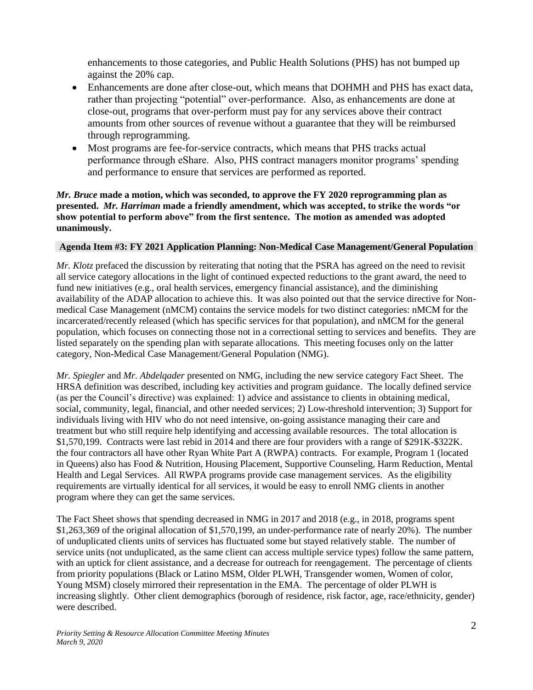enhancements to those categories, and Public Health Solutions (PHS) has not bumped up against the 20% cap.

- Enhancements are done after close-out, which means that DOHMH and PHS has exact data, rather than projecting "potential" over-performance. Also, as enhancements are done at close-out, programs that over-perform must pay for any services above their contract amounts from other sources of revenue without a guarantee that they will be reimbursed through reprogramming.
- Most programs are fee-for-service contracts, which means that PHS tracks actual performance through eShare. Also, PHS contract managers monitor programs' spending and performance to ensure that services are performed as reported.

### *Mr. Bruce* **made a motion, which was seconded, to approve the FY 2020 reprogramming plan as presented.** *Mr. Harriman* **made a friendly amendment, which was accepted, to strike the words "or show potential to perform above" from the first sentence. The motion as amended was adopted unanimously.**

### **Agenda Item #3: FY 2021 Application Planning: Non-Medical Case Management/General Population**

*Mr. Klotz* prefaced the discussion by reiterating that noting that the PSRA has agreed on the need to revisit all service category allocations in the light of continued expected reductions to the grant award, the need to fund new initiatives (e.g., oral health services, emergency financial assistance), and the diminishing availability of the ADAP allocation to achieve this. It was also pointed out that the service directive for Nonmedical Case Management (nMCM) contains the service models for two distinct categories: nMCM for the incarcerated/recently released (which has specific services for that population), and nMCM for the general population, which focuses on connecting those not in a correctional setting to services and benefits. They are listed separately on the spending plan with separate allocations. This meeting focuses only on the latter category, Non-Medical Case Management/General Population (NMG).

*Mr. Spiegler* and *Mr. Abdelqader* presented on NMG, including the new service category Fact Sheet. The HRSA definition was described, including key activities and program guidance. The locally defined service (as per the Council's directive) was explained: 1) advice and assistance to clients in obtaining medical, social, community, legal, financial, and other needed services; 2) Low-threshold intervention; 3) Support for individuals living with HIV who do not need intensive, on-going assistance managing their care and treatment but who still require help identifying and accessing available resources. The total allocation is \$1,570,199. Contracts were last rebid in 2014 and there are four providers with a range of \$291K-\$322K. the four contractors all have other Ryan White Part A (RWPA) contracts. For example, Program 1 (located in Queens) also has Food & Nutrition, Housing Placement, Supportive Counseling, Harm Reduction, Mental Health and Legal Services. All RWPA programs provide case management services. As the eligibility requirements are virtually identical for all services, it would be easy to enroll NMG clients in another program where they can get the same services.

The Fact Sheet shows that spending decreased in NMG in 2017 and 2018 (e.g., in 2018, programs spent \$1,263,369 of the original allocation of \$1,570,199, an under-performance rate of nearly 20%). The number of unduplicated clients units of services has fluctuated some but stayed relatively stable. The number of service units (not unduplicated, as the same client can access multiple service types) follow the same pattern, with an uptick for client assistance, and a decrease for outreach for reengagement. The percentage of clients from priority populations (Black or Latino MSM, Older PLWH, Transgender women, Women of color, Young MSM) closely mirrored their representation in the EMA. The percentage of older PLWH is increasing slightly. Other client demographics (borough of residence, risk factor, age, race/ethnicity, gender) were described.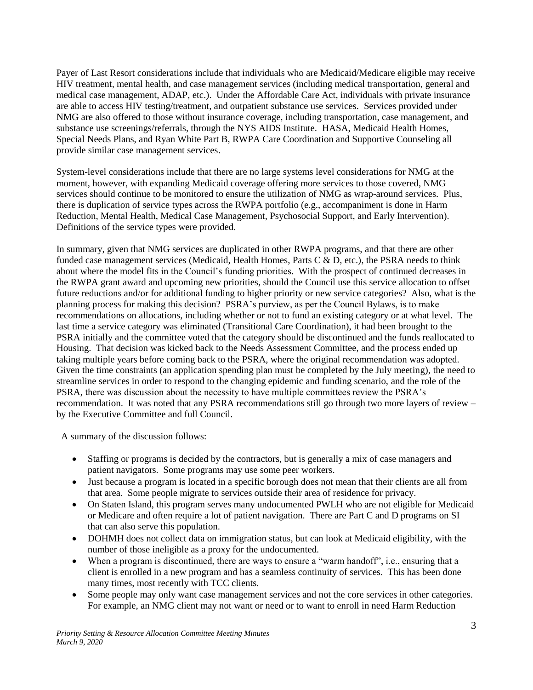Payer of Last Resort considerations include that individuals who are Medicaid/Medicare eligible may receive HIV treatment, mental health, and case management services (including medical transportation, general and medical case management, ADAP, etc.). Under the Affordable Care Act, individuals with private insurance are able to access HIV testing/treatment, and outpatient substance use services. Services provided under NMG are also offered to those without insurance coverage, including transportation, case management, and substance use screenings/referrals, through the NYS AIDS Institute. HASA, Medicaid Health Homes, Special Needs Plans, and Ryan White Part B, RWPA Care Coordination and Supportive Counseling all provide similar case management services.

System-level considerations include that there are no large systems level considerations for NMG at the moment, however, with expanding Medicaid coverage offering more services to those covered, NMG services should continue to be monitored to ensure the utilization of NMG as wrap-around services. Plus, there is duplication of service types across the RWPA portfolio (e.g., accompaniment is done in Harm Reduction, Mental Health, Medical Case Management, Psychosocial Support, and Early Intervention). Definitions of the service types were provided.

In summary, given that NMG services are duplicated in other RWPA programs, and that there are other funded case management services (Medicaid, Health Homes, Parts C  $\&$  D, etc.), the PSRA needs to think about where the model fits in the Council's funding priorities. With the prospect of continued decreases in the RWPA grant award and upcoming new priorities, should the Council use this service allocation to offset future reductions and/or for additional funding to higher priority or new service categories? Also, what is the planning process for making this decision? PSRA's purview, as per the Council Bylaws, is to make recommendations on allocations, including whether or not to fund an existing category or at what level. The last time a service category was eliminated (Transitional Care Coordination), it had been brought to the PSRA initially and the committee voted that the category should be discontinued and the funds reallocated to Housing. That decision was kicked back to the Needs Assessment Committee, and the process ended up taking multiple years before coming back to the PSRA, where the original recommendation was adopted. Given the time constraints (an application spending plan must be completed by the July meeting), the need to streamline services in order to respond to the changing epidemic and funding scenario, and the role of the PSRA, there was discussion about the necessity to have multiple committees review the PSRA's recommendation. It was noted that any PSRA recommendations still go through two more layers of review – by the Executive Committee and full Council.

A summary of the discussion follows:

- Staffing or programs is decided by the contractors, but is generally a mix of case managers and patient navigators. Some programs may use some peer workers.
- Just because a program is located in a specific borough does not mean that their clients are all from that area. Some people migrate to services outside their area of residence for privacy.
- On Staten Island, this program serves many undocumented PWLH who are not eligible for Medicaid or Medicare and often require a lot of patient navigation. There are Part C and D programs on SI that can also serve this population.
- DOHMH does not collect data on immigration status, but can look at Medicaid eligibility, with the number of those ineligible as a proxy for the undocumented.
- When a program is discontinued, there are ways to ensure a "warm handoff", i.e., ensuring that a client is enrolled in a new program and has a seamless continuity of services. This has been done many times, most recently with TCC clients.
- Some people may only want case management services and not the core services in other categories. For example, an NMG client may not want or need or to want to enroll in need Harm Reduction